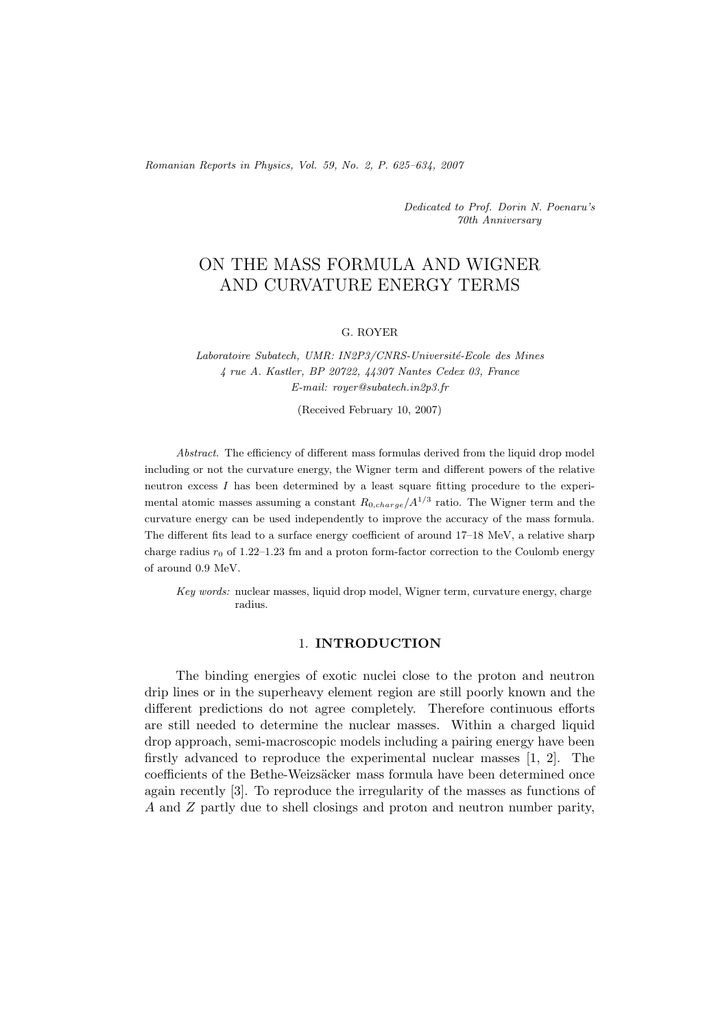*Romanian Reports in Physics, Vol. 59, No. 2, P. 625–634, 2007*

*Dedicated to Prof. Dorin N. Poenaru's 70th Anniversary*

# ON THE MASS FORMULA AND WIGNER AND CURVATURE ENERGY TERMS

#### G. ROYER

Laboratoire Subatech, UMR: IN2P3/CNRS-Université-Ecole des Mines *4 rue A. Kastler, BP 20722, 44307 Nantes Cedex 03, France E-mail: royer@subatech.in2p3.fr*

(Received February 10, 2007)

*Abstract.* The efficiency of different mass formulas derived from the liquid drop model including or not the curvature energy, the Wigner term and different powers of the relative neutron excess  $I$  has been determined by a least square fitting procedure to the experimental atomic masses assuming a constant  $R_{0,charge}/A^{1/3}$  ratio. The Wigner term and the curvature energy can be used independently to improve the accuracy of the mass formula. The different fits lead to a surface energy coefficient of around 17–18 MeV, a relative sharp charge radius  $r_0$  of 1.22–1.23 fm and a proton form-factor correction to the Coulomb energy of around 0.9 MeV.

*Key words:* nuclear masses, liquid drop model, Wigner term, curvature energy, charge radius.

#### 1. **INTRODUCTION**

The binding energies of exotic nuclei close to the proton and neutron drip lines or in the superheavy element region are still poorly known and the different predictions do not agree completely. Therefore continuous efforts are still needed to determine the nuclear masses. Within a charged liquid drop approach, semi-macroscopic models including a pairing energy have been firstly advanced to reproduce the experimental nuclear masses [1, 2]. The coefficients of the Bethe-Weizsäcker mass formula have been determined once again recently [3]. To reproduce the irregularity of the masses as functions of A and Z partly due to shell closings and proton and neutron number parity,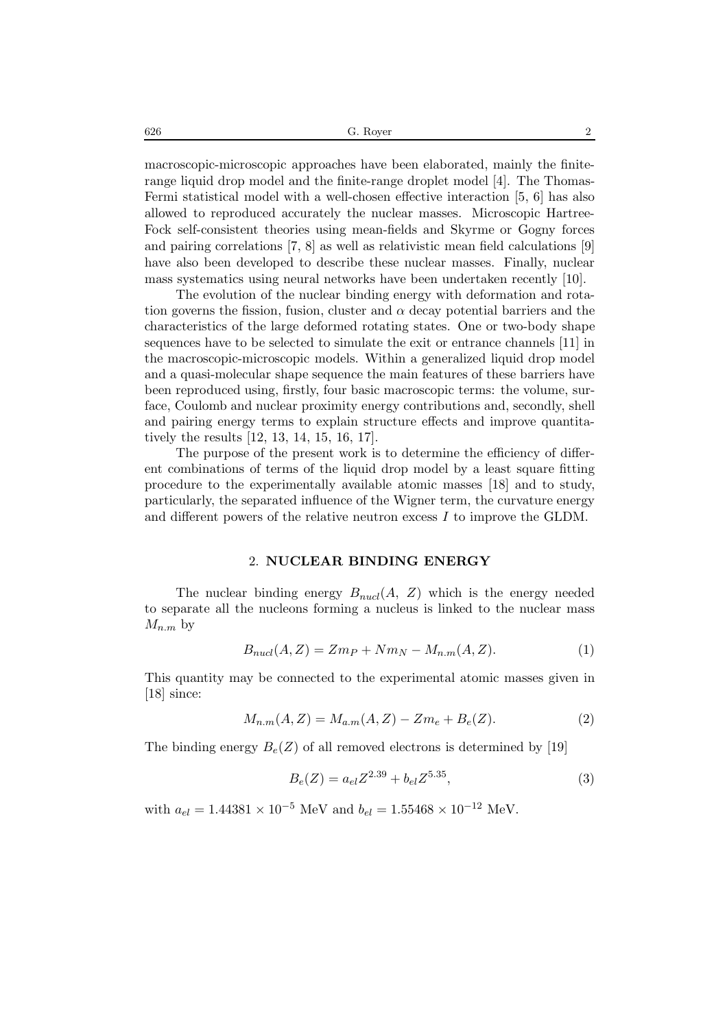$626$  G. Royer 2

macroscopic-microscopic approaches have been elaborated, mainly the finiterange liquid drop model and the finite-range droplet model [4]. The Thomas-Fermi statistical model with a well-chosen effective interaction [5, 6] has also allowed to reproduced accurately the nuclear masses. Microscopic Hartree-Fock self-consistent theories using mean-fields and Skyrme or Gogny forces and pairing correlations [7, 8] as well as relativistic mean field calculations [9] have also been developed to describe these nuclear masses. Finally, nuclear mass systematics using neural networks have been undertaken recently [10].

The evolution of the nuclear binding energy with deformation and rotation governs the fission, fusion, cluster and  $\alpha$  decay potential barriers and the characteristics of the large deformed rotating states. One or two-body shape sequences have to be selected to simulate the exit or entrance channels [11] in the macroscopic-microscopic models. Within a generalized liquid drop model and a quasi-molecular shape sequence the main features of these barriers have been reproduced using, firstly, four basic macroscopic terms: the volume, surface, Coulomb and nuclear proximity energy contributions and, secondly, shell and pairing energy terms to explain structure effects and improve quantitatively the results [12, 13, 14, 15, 16, 17].

The purpose of the present work is to determine the efficiency of different combinations of terms of the liquid drop model by a least square fitting procedure to the experimentally available atomic masses [18] and to study, particularly, the separated influence of the Wigner term, the curvature energy and different powers of the relative neutron excess  $I$  to improve the GLDM.

#### 2. **NUCLEAR BINDING ENERGY**

The nuclear binding energy  $B_{nucl}(A, Z)$  which is the energy needed to separate all the nucleons forming a nucleus is linked to the nuclear mass  $M_{n,m}$  by

$$
B_{nucl}(A, Z) = Zm_P + Nm_N - M_{n.m}(A, Z). \tag{1}
$$

This quantity may be connected to the experimental atomic masses given in [18] since:

$$
M_{n,m}(A,Z) = M_{a,m}(A,Z) - Zm_e + B_e(Z). \tag{2}
$$

The binding energy  $B_e(Z)$  of all removed electrons is determined by [19]

$$
B_e(Z) = a_{el} Z^{2.39} + b_{el} Z^{5.35},\tag{3}
$$

with  $a_{el} = 1.44381 \times 10^{-5}$  MeV and  $b_{el} = 1.55468 \times 10^{-12}$  MeV.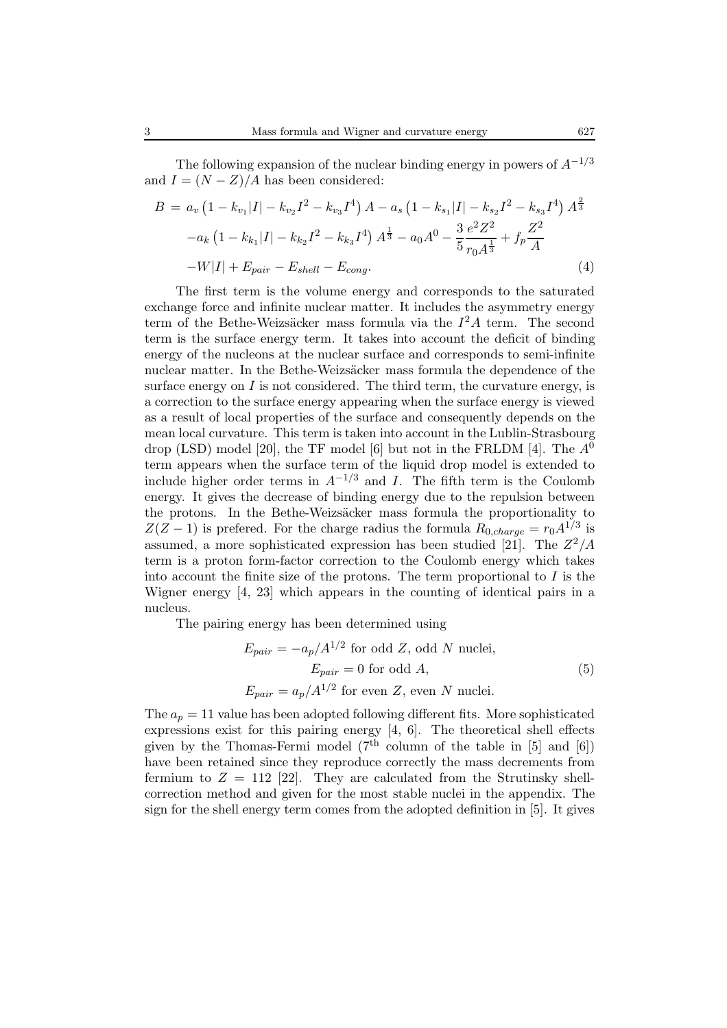The following expansion of the nuclear binding energy in powers of A*−*1*/*<sup>3</sup> and  $I = (N - Z)/A$  has been considered:

$$
B = a_v \left(1 - k_{v_1}|I| - k_{v_2}I^2 - k_{v_3}I^4\right) A - a_s \left(1 - k_{s_1}|I| - k_{s_2}I^2 - k_{s_3}I^4\right) A^{\frac{2}{3}}
$$

$$
-a_k \left(1 - k_{k_1}|I| - k_{k_2}I^2 - k_{k_3}I^4\right) A^{\frac{1}{3}} - a_0 A^0 - \frac{3}{5} \frac{e^2 Z^2}{r_0 A^{\frac{1}{3}}} + f_p \frac{Z^2}{A}
$$

$$
-W|I| + E_{pair} - E_{shell} - E_{cong}.
$$

$$
(4)
$$

The first term is the volume energy and corresponds to the saturated exchange force and infinite nuclear matter. It includes the asymmetry energy term of the Bethe-Weizsäcker mass formula via the  $I^2A$  term. The second term is the surface energy term. It takes into account the deficit of binding energy of the nucleons at the nuclear surface and corresponds to semi-infinite nuclear matter. In the Bethe-Weizsäcker mass formula the dependence of the surface energy on  $I$  is not considered. The third term, the curvature energy, is a correction to the surface energy appearing when the surface energy is viewed as a result of local properties of the surface and consequently depends on the mean local curvature. This term is taken into account in the Lublin-Strasbourg drop (LSD) model [20], the TF model [6] but not in the FRLDM [4]. The  $A^0$ term appears when the surface term of the liquid drop model is extended to include higher order terms in  $A^{-1/3}$  and I. The fifth term is the Coulomb energy. It gives the decrease of binding energy due to the repulsion between the protons. In the Bethe-Weizsäcker mass formula the proportionality to  $Z(Z-1)$  is prefered. For the charge radius the formula  $R_{0,charge} = r_0 A^{1/3}$  is assumed, a more sophisticated expression has been studied [21]. The  $Z^2/A$ term is a proton form-factor correction to the Coulomb energy which takes into account the finite size of the protons. The term proportional to  $I$  is the Wigner energy [4, 23] which appears in the counting of identical pairs in a nucleus.

The pairing energy has been determined using

$$
E_{pair} = -a_p/A^{1/2} \text{ for odd } Z, \text{ odd } N \text{ nuclei},
$$
  
\n
$$
E_{pair} = 0 \text{ for odd } A,
$$
  
\n
$$
E_{pair} = a_p/A^{1/2} \text{ for even } Z, \text{ even } N \text{ nuclei}.
$$
  
\n(5)

The  $a_p = 11$  value has been adopted following different fits. More sophisticated expressions exist for this pairing energy [4, 6]. The theoretical shell effects given by the Thomas-Fermi model  $(7<sup>th</sup>$  column of the table in [5] and [6]) have been retained since they reproduce correctly the mass decrements from fermium to  $Z = 112$  [22]. They are calculated from the Strutinsky shellcorrection method and given for the most stable nuclei in the appendix. The sign for the shell energy term comes from the adopted definition in [5]. It gives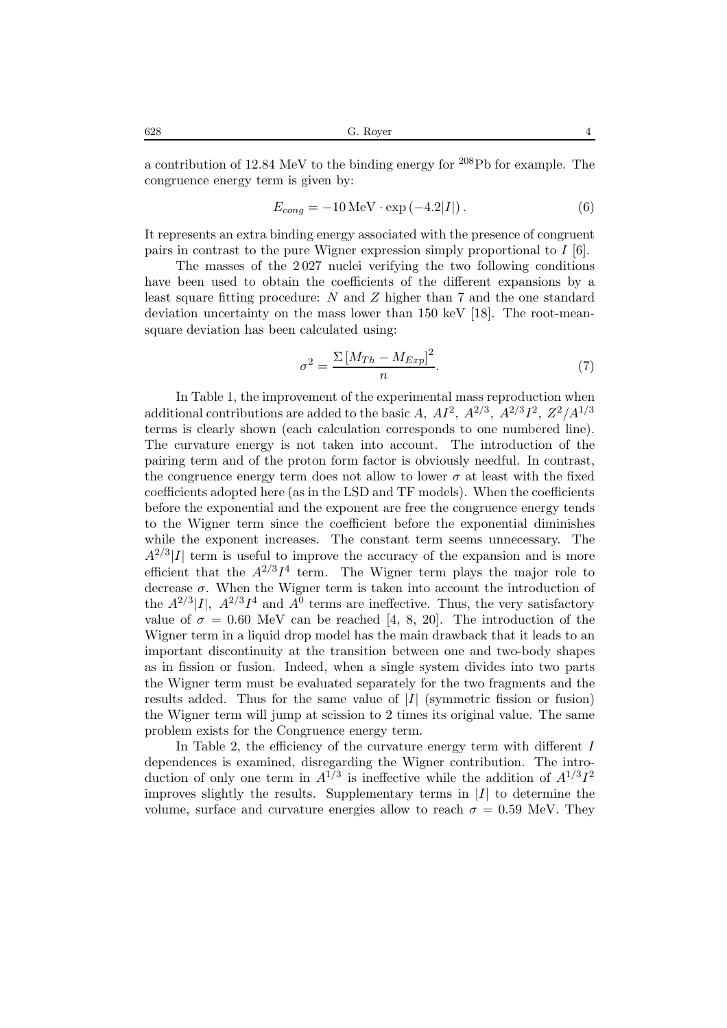a contribution of 12.84 MeV to the binding energy for <sup>208</sup>Pb for example. The congruence energy term is given by:

$$
E_{cong} = -10 \,\text{MeV} \cdot \exp\left(-4.2|I|\right). \tag{6}
$$

It represents an extra binding energy associated with the presence of congruent pairs in contrast to the pure Wigner expression simply proportional to  $I$  [6].

The masses of the 2 027 nuclei verifying the two following conditions have been used to obtain the coefficients of the different expansions by a least square fitting procedure: N and Z higher than 7 and the one standard deviation uncertainty on the mass lower than 150 keV [18]. The root-meansquare deviation has been calculated using:

$$
\sigma^2 = \frac{\Sigma \left[ M_{Th} - M_{Exp} \right]^2}{n}.
$$
\n(7)

In Table 1, the improvement of the experimental mass reproduction when additional contributions are added to the basic A,  $AI^2$ ,  $A^{2/3}$ ,  $A^{2/3}I^2$ ,  $Z^2/A^{1/3}$ terms is clearly shown (each calculation corresponds to one numbered line). The curvature energy is not taken into account. The introduction of the pairing term and of the proton form factor is obviously needful. In contrast, the congruence energy term does not allow to lower  $\sigma$  at least with the fixed coefficients adopted here (as in the LSD and TF models). When the coefficients before the exponential and the exponent are free the congruence energy tends to the Wigner term since the coefficient before the exponential diminishes while the exponent increases. The constant term seems unnecessary. The  $A^{2/3}|I|$  term is useful to improve the accuracy of the expansion and is more efficient that the  $A^{2/3}I^4$  term. The Wigner term plays the major role to decrease  $\sigma$ . When the Wigner term is taken into account the introduction of the  $A^{2/3}$ [I],  $A^{2/3}I^4$  and  $A^0$  terms are ineffective. Thus, the very satisfactory value of  $\sigma = 0.60$  MeV can be reached [4, 8, 20]. The introduction of the Wigner term in a liquid drop model has the main drawback that it leads to an important discontinuity at the transition between one and two-body shapes as in fission or fusion. Indeed, when a single system divides into two parts the Wigner term must be evaluated separately for the two fragments and the results added. Thus for the same value of *|*I*|* (symmetric fission or fusion) the Wigner term will jump at scission to 2 times its original value. The same problem exists for the Congruence energy term.

In Table 2, the efficiency of the curvature energy term with different  $I$ dependences is examined, disregarding the Wigner contribution. The introduction of only one term in  $A^{1/3}$  is ineffective while the addition of  $A^{1/3}I^2$ improves slightly the results. Supplementary terms in *|*I*|* to determine the volume, surface and curvature energies allow to reach  $\sigma = 0.59$  MeV. They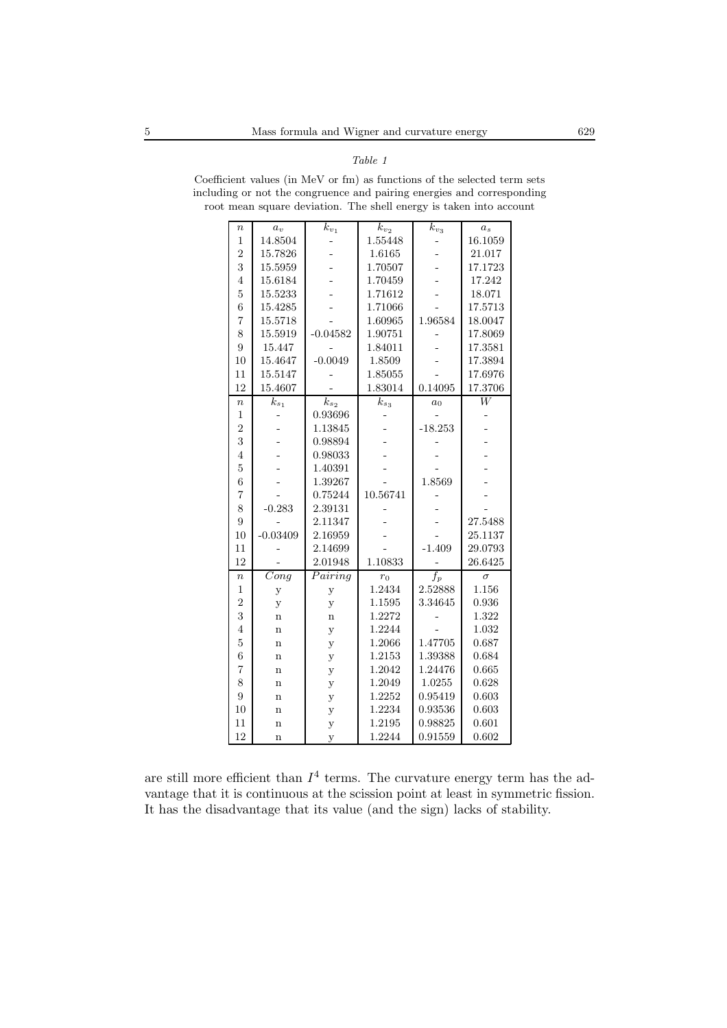*Table 1*

| $\it n$          | $a_v$                   | $k_{v_1}$            | $k_{v_2}$ | $k_{v_3}$        | a <sub>s</sub> |
|------------------|-------------------------|----------------------|-----------|------------------|----------------|
| $\mathbf{1}$     | 14.8504                 |                      | 1.55448   |                  | 16.1059        |
| $\overline{2}$   | 15.7826                 |                      | 1.6165    |                  | 21.017         |
| 3                | 15.5959                 |                      | 1.70507   |                  | 17.1723        |
| $\overline{4}$   | 15.6184                 |                      | 1.70459   |                  | 17.242         |
| $\overline{5}$   | 15.5233                 |                      | 1.71612   |                  | 18.071         |
| $\overline{6}$   | 15.4285                 |                      | 1.71066   |                  | 17.5713        |
| $\overline{7}$   | 15.5718                 |                      | 1.60965   | 1.96584          | 18.0047        |
| 8                | 15.5919                 | $-0.04582$           | 1.90751   |                  | 17.8069        |
| 9                | 15.447                  |                      | 1.84011   |                  | 17.3581        |
| 10               | 15.4647                 | $-0.0049$            | 1.8509    |                  | 17.3894        |
| 11               | 15.5147                 |                      | 1.85055   |                  | 17.6976        |
| 12               | 15.4607                 |                      | 1.83014   | 0.14095          | 17.3706        |
| $\boldsymbol{n}$ | $\bar{k}_{s_1}$         | $k_{\mathfrak{s}_2}$ | $k_{s_3}$ | $a_0$            | $\overline{W}$ |
| $\mathbf{1}$     |                         | 0.93696              |           |                  |                |
| $\overline{2}$   |                         | 1.13845              |           | $-18.253$        |                |
| 3                |                         | 0.98894              |           |                  |                |
| $\overline{4}$   |                         | 0.98033              |           |                  |                |
| $\overline{5}$   |                         | 1.40391              |           |                  |                |
| 6                |                         | 1.39267              |           | 1.8569           |                |
| $\overline{7}$   |                         | 0.75244              | 10.56741  |                  |                |
| 8                | $-0.283$                | 2.39131              |           |                  |                |
| 9                |                         | 2.11347              |           |                  | 27.5488        |
| 10               | $-0.03409$              | 2.16959              |           |                  | 25.1137        |
| 11               |                         | 2.14699              |           | $-1.409$         | 29.0793        |
| 12               |                         | 2.01948              | 1.10833   |                  | 26.6425        |
| $\boldsymbol{n}$ | $\overline{C}$ ong      | Pairing              | $r_0$     | $\overline{f_p}$ | $\sigma$       |
| $\mathbf{1}$     | у                       | у                    | 1.2434    | 2.52888          | 1.156          |
| $\overline{2}$   | y                       | y                    | 1.1595    | 3.34645          | 0.936          |
| 3                | $\mathbf n$             | $\mathbf n$          | 1.2272    |                  | 1.322          |
| $\overline{4}$   | $\mathbf n$             | y                    | 1.2244    |                  | 1.032          |
| $\overline{5}$   | $\mathbf n$             | y                    | 1.2066    | 1.47705          | 0.687          |
| 6                | $\mathbf n$             | y                    | 1.2153    | 1.39388          | 0.684          |
| $\overline{7}$   | $\mathbf n$             | y                    | 1.2042    | 1.24476          | 0.665          |
| 8                | $\mathbf n$             | y                    | 1.2049    | 1.0255           | 0.628          |
| 9                | $\mathbf n$             | у                    | 1.2252    | 0.95419          | 0.603          |
| 10               | $\mathbf n$             | у                    | 1.2234    | 0.93536          | 0.603          |
| 11               | $\overline{\mathbf{n}}$ | y                    | 1.2195    | 0.98825          | 0.601          |
| 12               | $\mathbf n$             | y                    | 1.2244    | 0.91559          | 0.602          |

Coefficient values (in MeV or fm) as functions of the selected term sets including or not the congruence and pairing energies and corresponding root mean square deviation. The shell energy is taken into account

are still more efficient than  $I^4$  terms. The curvature energy term has the advantage that it is continuous at the scission point at least in symmetric fission. It has the disadvantage that its value (and the sign) lacks of stability.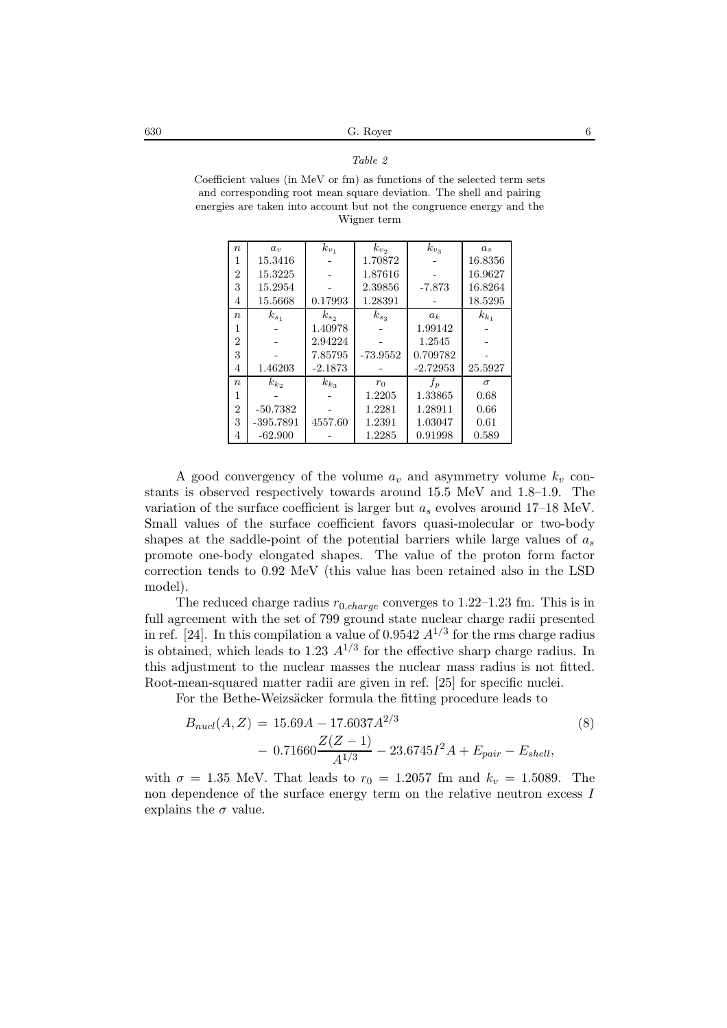*Table 2*

| $\boldsymbol{n}$ | $a_{\eta}$  | $k_{v_1}$ | $k_{v_2}$  | $k_{v_3}$  | $a_{s}$   |
|------------------|-------------|-----------|------------|------------|-----------|
| 1                | 15.3416     |           | 1.70872    |            | 16.8356   |
| $\overline{2}$   | 15.3225     |           | 1.87616    |            | 16.9627   |
| 3                | 15.2954     |           | 2.39856    | $-7.873$   | 16.8264   |
| 4                | 15.5668     | 0.17993   | 1.28391    |            | 18.5295   |
| $\eta$           | $k_{s_1}$   | $k_{s_2}$ | $k_{s_3}$  | $a_k$      | $k_{k_1}$ |
| 1                |             | 1.40978   |            | 1.99142    |           |
| $\overline{2}$   |             | 2.94224   |            | 1.2545     |           |
| 3                |             | 7.85795   | $-73.9552$ | 0.709782   |           |
| 4                | 1.46203     | $-2.1873$ |            | $-2.72953$ | 25.5927   |
| $\boldsymbol{n}$ | $k_{k_2}$   | $k_{k_3}$ | $r_0$      | $f_p$      | $\sigma$  |
| 1                |             |           | 1.2205     | 1.33865    | 0.68      |
| $\overline{2}$   | $-50.7382$  |           | 1.2281     | 1.28911    | 0.66      |
| 3                | $-395.7891$ | 4557.60   | 1.2391     | 1.03047    | 0.61      |
| 4                | $-62.900$   |           | 1.2285     | 0.91998    | 0.589     |

Coefficient values (in MeV or fm) as functions of the selected term sets and corresponding root mean square deviation. The shell and pairing energies are taken into account but not the congruence energy and the Wigner term

A good convergency of the volume  $a_v$  and asymmetry volume  $k_v$  constants is observed respectively towards around 15.5 MeV and 1.8–1.9. The variation of the surface coefficient is larger but <sup>a</sup>*s* evolves around 17–18 MeV. Small values of the surface coefficient favors quasi-molecular or two-body shapes at the saddle-point of the potential barriers while large values of <sup>a</sup>*s* promote one-body elongated shapes. The value of the proton form factor correction tends to 0.92 MeV (this value has been retained also in the LSD model).

The reduced charge radius <sup>r</sup>0*,charge* converges to 1.22–1.23 fm. This is in full agreement with the set of 799 ground state nuclear charge radii presented in ref. [24]. In this compilation a value of  $0.9542 A^{1/3}$  for the rms charge radius is obtained, which leads to 1.23  $A^{1/3}$  for the effective sharp charge radius. In this adjustment to the nuclear masses the nuclear mass radius is not fitted. Root-mean-squared matter radii are given in ref. [25] for specific nuclei.

For the Bethe-Weizsäcker formula the fitting procedure leads to

$$
B_{nucl}(A, Z) = 15.69A - 17.6037A^{2/3}
$$
\n
$$
- 0.71660 \frac{Z(Z - 1)}{A^{1/3}} - 23.6745I^2A + E_{pair} - E_{shell},
$$
\n(8)

with  $\sigma = 1.35$  MeV. That leads to  $r_0 = 1.2057$  fm and  $k_v = 1.5089$ . The non dependence of the surface energy term on the relative neutron excess I explains the  $\sigma$  value.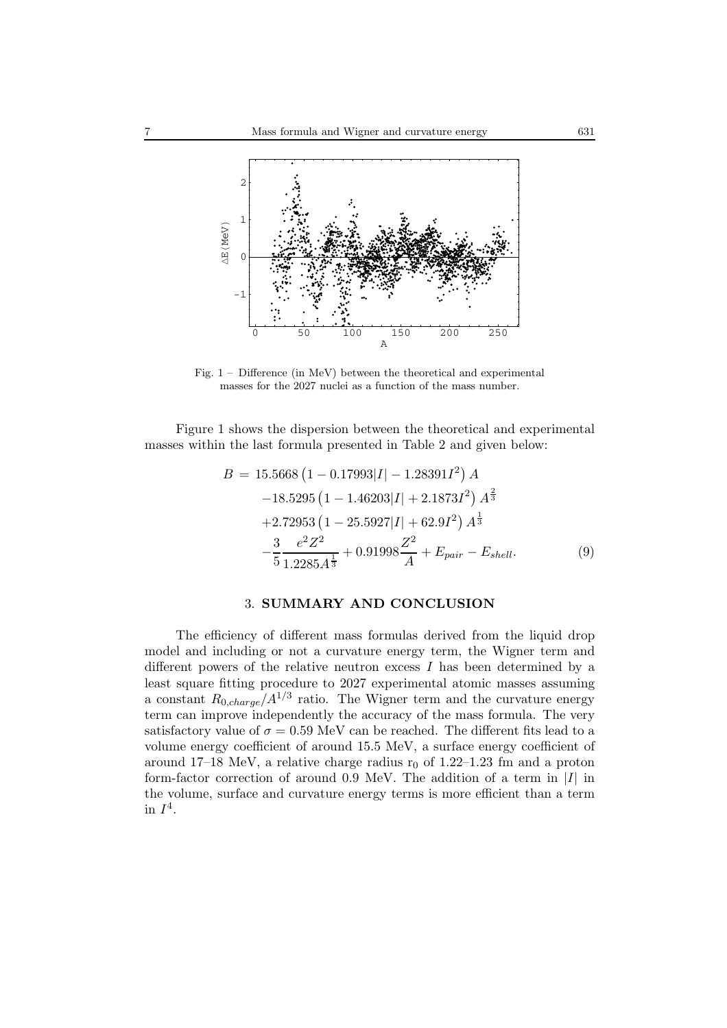

Fig. 1 – Difference (in MeV) between the theoretical and experimental masses for the 2027 nuclei as a function of the mass number.

Figure 1 shows the dispersion between the theoretical and experimental masses within the last formula presented in Table 2 and given below:

$$
B = 15.5668 \left( 1 - 0.17993 |I| - 1.28391I^2 \right) A
$$
  
\n
$$
-18.5295 \left( 1 - 1.46203 |I| + 2.1873I^2 \right) A^{\frac{2}{3}}
$$
  
\n
$$
+2.72953 \left( 1 - 25.5927 |I| + 62.9I^2 \right) A^{\frac{1}{3}}
$$
  
\n
$$
- \frac{3}{5} \frac{e^2 Z^2}{1.2285 A^{\frac{1}{3}}} + 0.91998 \frac{Z^2}{A} + E_{pair} - E_{shell}.
$$
  
\n(9)

### 3. **SUMMARY AND CONCLUSION**

The efficiency of different mass formulas derived from the liquid drop model and including or not a curvature energy term, the Wigner term and different powers of the relative neutron excess I has been determined by a least square fitting procedure to 2027 experimental atomic masses assuming a constant  $R_{0,charge}/A^{1/3}$  ratio. The Wigner term and the curvature energy term can improve independently the accuracy of the mass formula. The very satisfactory value of  $\sigma = 0.59$  MeV can be reached. The different fits lead to a volume energy coefficient of around 15.5 MeV, a surface energy coefficient of around 17–18 MeV, a relative charge radius  $r_0$  of 1.22–1.23 fm and a proton form-factor correction of around 0.9 MeV. The addition of a term in *|*I*|* in the volume, surface and curvature energy terms is more efficient than a term in  $I^4$ .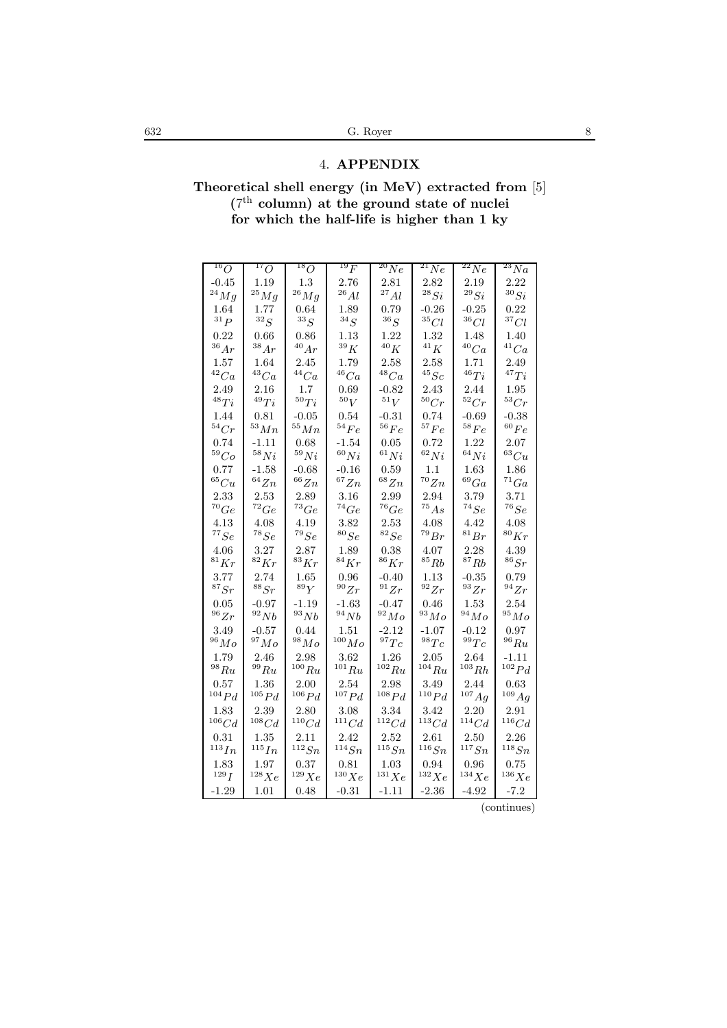## 4. APPENDIX

Theoretical shell energy (in MeV) extracted from [5]<br>( $7^{\text{th}}$  column) at the ground state of nuclei<br>for which the half-life is higher than 1 ky

| $^{16}O$           | $^{17}O$              | $^{18}O$           | $^{19}F$             | $^{20}Ne$          | $^{21}Ne$              | $^{22}Ne$             | $^{23}Na$               |
|--------------------|-----------------------|--------------------|----------------------|--------------------|------------------------|-----------------------|-------------------------|
| $-0.45$            | 1.19                  | $1.3\,$            | 2.76                 | 2.81               | 2.82                   | 2.19                  | 2.22                    |
| $^{24}Mg$          | $^{25}Mg$             | $^{26}Mg$          | $^{26}Al$            | $^{27}Al$          | $^{28}Si$              | $^{29}Si$             | $^{30}Si$               |
| 1.64               | 1.77                  | 0.64               | 1.89                 | 0.79               | $-0.26$                | $-0.25$               | 0.22                    |
| $^{31}P\;$         | ${}^{32}S$            | $^{33}S$           | ${}^{34}S$           | $^{36}S$           | ${}^{35}Cl$            | ${}^{36}Cl$           | ${}^{37}Cl$             |
| 0.22               | 0.66                  | 0.86               | 1.13                 | 1.22               | 1.32                   | 1.48                  | 1.40                    |
| $^{36}Ar$          | 38Ar                  | $^{40}Ar$          | $^{39}K$             | $^{40}K$           | $^{41}K$               | $^{40}Ca$             | $^{41}Ca$               |
| 1.57               | 1.64                  | 2.45               | 1.79                 | 2.58               | 2.58                   | 1.71                  | 2.49                    |
| $^{42}Ca$          | $^{43}Ca$             | $^{44}Ca$          | $^{46}Ca$            | $^{48}Ca$          | $^{45}Sc$              | $^{46}Ti$             | $^{47}Ti$               |
| 2.49               | 2.16                  | 1.7                | 0.69                 | -0.82              | 2.43                   | 2.44                  | 1.95                    |
| $^{48}Ti$          | $^{49}Ti$             | ${}^{50}Ti$        | ${}^{50}V$           | $^{51}V$           | ${}^{50}Cr$            | $^{52}Cr$             | ${}^{53}Cr$             |
| 1.44               | 0.81                  | $-0.05$            | 0.54<br>$^{54}Fe$    | -0.31              | 0.74                   | $-0.69$               | $-0.38$<br>$^{60}Fe$    |
| $^{54}Cr$          | $^{53}Mn$             | $^{55}Mn$          |                      | $^{56}Fe$          | $^{57}Fe$              | $^{58}Fe$             |                         |
| 0.74<br>59Co       | $-1.11$<br>$^{58}Ni$  | 0.68<br>$^{59}Ni$  | $-1.54$<br>$^{60}Ni$ | 0.05<br>$^{61}Ni$  | $0.72\,$<br>$^{62}Ni$  | $1.22\,$<br>$^{64}Ni$ | $2.07\,$<br>${}^{63}Cu$ |
| 0.77               | $-1.58$               | $-0.68$            | $-0.16$              | 0.59               |                        | 1.63                  | 1.86                    |
| ${}^{65}Cu$        | $^{64}Zn$             | $^{66}Zn$          | ${}^{67}Zn$          | ${}^{68}Zn$        | 1.1<br>$^{70}Zn$       | $^{69}Ga$             | ${}^{71}Ga$             |
| 2.33               | 2.53                  | 2.89               | 3.16                 | 2.99               | 2.94                   | 3.79                  | 3.71                    |
| $^{70}Ge$          | 72 Ge                 | $^{73}Ge$          | $^{74}Ge$            | $^{76}Ge$          | $^{75}As$              | $^{74}Se$             | $^{76}Se$               |
| 4.13               | $4.08\,$              | 4.19               | 3.82                 | 2.53               | 4.08                   | 4.42                  | 4.08                    |
| ${}^{77}Se$        | $^{78}Se$             | $^{79}Se$          | $^{80}Se$            | ${}^{82}Se$        | $^{79}Br$              | $^{81}Br$             | $^{80}Kr$               |
| 4.06               | 3.27                  | 2.87               | 1.89                 | 0.38               | $4.07\,$               | $2.28\,$              | 4.39                    |
| $^{81}Kr$          | ${}^{82}Kr$           | $^{83}Kr$          | $^{84}Kr$            | $^{86}Kr$          | $^{85}Rb$              | $^{87}Rb$             | $^{86}Sr$               |
| 3.77               | 2.74                  | 1.65               | 0.96                 | $-0.40$            | 1.13                   | $-0.35$               | 0.79                    |
| $^{87}Sr$          | $^{88}Sr$             | $^{89}Y$           | $^{90}Zr$            | $^{91}Zr$          | $^{92}Zr$              | $^{93}Zr$             | $^{94}Zr$               |
| 0.05               | -0.97                 | $-1.19$            | -1.63                | -0.47              | 0.46                   | 1.53                  | 2.54                    |
| $^{96}Zr$          | $^{92}Nb$             | $^{93}Nb$          | $^{94}Nb$            | $^{92}Mo$          | $^{93}Mo$              | $^{94}Mo$             | $^{95}Mo$               |
| 3.49               | $-0.57$               | 0.44               | 1.51                 | -2.12              | -1.07                  | -0.12                 | 0.97                    |
| $^{96}Mo$          | $^{97}Mo$             | $^{98}Mo$          | $^{100}Mo$           | $^{97}Te$          | $^{98}Tc$              | $^{99}Te$             | $^{96} Ru$              |
| 1.79               | 2.46                  | 2.98               | 3.62                 | 1.26               | 2.05                   | 2.64                  | $-1.11$                 |
| $^{98} Ru$         | $^{99}Ru$             | $^{100} Ru$        | $^{101}Ru$           | $^{102} Ru$        | $^{104} Ru$            | $^{103}Rh$            | $102$ $Pd$              |
| 0.57               | 1.36                  | 2.00               | 2.54                 | 2.98               | 3.49                   | 2.44                  | 0.63                    |
| $^{104}Pd$         | $^{105}Pd$            | $^{106}Pd$         | $^{107}Pd$           | $^{108}Pd$         | $^{110}Pd$             | $^{107}Ag$            | $^{109} Ag$             |
| 1.83               | 2.39                  | 2.80               | 3.08                 | 3.34               | 3.42                   | 2.20                  | 2.91                    |
| $^{106}Cd$         | $^{108}Cd$            | $^{110}Cd$         | $^{111}Cd$           | $^{112}Cd$         | $^{113}Cd$             | $114 \text{Cd}$       | $^{116}Cd$              |
| 0.31<br>$^{113}In$ | 1.35<br>$^{115} In\,$ | 2.11<br>$^{112}Sn$ | 2.42<br>$^{114}Sn$   | 2.52<br>$^{115}Sn$ | $2.61\,$<br>$^{116}Sn$ | 2.50<br>$^{117}Sn$    | 2.26<br>$^{118}Sn$      |
|                    |                       |                    |                      |                    |                        |                       |                         |
| 1.83<br>$^{129}I$  | 1.97<br>$^{128}Xe$    | 0.37<br>$^{129}Xe$ | 0.81<br>$^{130}Xe$   | 1.03<br>$^{131}Xe$ | 0.94<br>$^{132}Xe$     | 0.96<br>$^{134}Xe$    | 0.75<br>$^{136}Xe$      |
| -1.29              | 1.01                  | 0.48               | $-0.31$              | $-1.11$            | $-2.36$                | -4.92                 | -7.2                    |
|                    |                       |                    |                      |                    |                        |                       |                         |

(continues)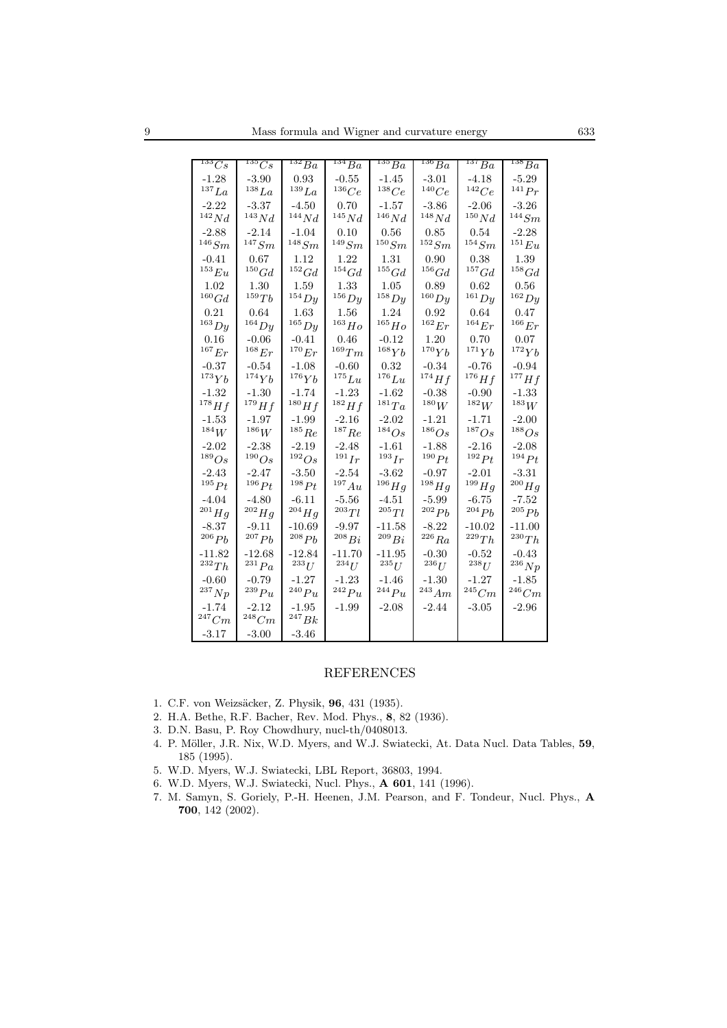| $^{133}Cs$            | $^{135}Cs$            | $^{132}Ba$          | $^{134}Ba$          | $^{135}Ba$          | $^{136}Ba$           | $^{137}Ba$           | $^{138}Ba$           |
|-----------------------|-----------------------|---------------------|---------------------|---------------------|----------------------|----------------------|----------------------|
| -1.28                 | $-3.90$               | 0.93                | $-0.55$             | -1.45               | -3.01                | -4.18                | $-5.29$              |
| $^{137}La$            | $^{138}La$            | $^{139}La$          | 136 Ce              | $^{138} Ce$         | $^{140}Ce$           | 142Ce                | $^{141}Pr$           |
| $-2.22$               | $-3.37$               | $-4.50$             | 0.70                | -1.57               | -3.86                | -2.06                | -3.26                |
| $^{142}Nd$            | $^{143}Nd$            | $^{144}Nd$          | $^{145}Nd$          | $^{146}Nd$          | $^{148}Nd$           | $^{150}Nd$           | $^{144} Sm$          |
| $-2.88$               | -2.14                 | -1.04               | 0.10                | 0.56                | 0.85                 | 0.54                 | $-2.28$              |
| $^{146} Sm$           | $^{147} Sm$           | $^{148} Sm$         | $^{149} Sm$         | $^{150} Sm$         | $^{152}Sm$           | $^{154} Sm$          | $^{151}Eu$           |
| $-0.41$               | 0.67                  | 1.12                | 1.22                | 1.31                | 0.90                 | 0.38                 | 1.39                 |
| $^{153}Eu\;$          | $^{150}Gd$            | $^{152}Gd$          | $^{154}Gd$          | $^{155}Gd$          | $^{156}Gd$           | $^{157}Gd$           | $^{158}Gd$           |
| 1.02                  | 1.30                  | 1.59                | $1.33\,$            | 1.05                | 0.89                 | 0.62                 | 0.56                 |
| $^{160}Gd$            | $^{159}Tb$            | $^{154}Dy$          | $^{156}Dy$          | $158\,Dy$           | $160$ Dy             | $^{161}Dy$           | $^{162}Dy$           |
| 0.21                  | 0.64                  | $1.63\,$            | 1.56                | 1.24                | 0.92                 | 0.64                 | 0.47                 |
| $^{163}Dy$            | $164$ $Dy$            | $165$ $Dy$          | $^{163} Ho$         | $^{165}Ho$          | $^{162}Er$           | $^{164}Er$           | $^{166}Er$           |
| 0.16                  | $-0.06$               | $-0.41$             | 0.46                | $-0.12$             | 1.20                 | 0.70                 | 0.07                 |
| $^{167}Er$            | $^{168}Er$            | $^{170}Er$          | $^{169}Tm$          | $^{168}Yb$          | $^{170}Yb$           | $^{171}Yb$           | $^{172}Yb$           |
| $-0.37$<br>$^{173}Yb$ | $-0.54$<br>$^{174}Yb$ | -1.08<br>$^{176}Yb$ | -0.60<br>$^{175}Lu$ | 0.32<br>$^{176}Lu$  | $-0.34$<br>$174} Hf$ | $-0.76$<br>$176} Hf$ | $-0.94$<br>$177} Hf$ |
| -1.32                 | $-1.30$               |                     | $-1.23$             |                     | $-0.38$              | $-0.90$              | -1.33                |
| $^{178}Hf$            | $179} Hf$             | -1.74<br>$^{180}Hf$ | $^{182}Hf$          | -1.62<br>$^{181}Ta$ | $^{180}W$            | $^{182}W$            | $^{183}W$            |
| -1.53                 | -1.97                 | -1.99               | $-2.16$             | $-2.02$             | -1.21                | $-1.71$              | $-2.00$              |
| $^{184}W$             | $^{186}W$             | $^{185}Re$          | $^{187}Re$          | $^{184}Os$          | $^{186}Os$           | $^{187}Os$           | 188 <sub>Os</sub>    |
| $-2.02$               | $-2.38$               | $-2.19$             | $-2.48$             | $-1.61$             | -1.88                | $-2.16$              | $-2.08$              |
| 189 Os                | $^{190}Os$            | $^{192}Os$          | $^{191}Ir$          | $^{193}Ir$          | $^{190} Pt$          | $^{192}Pt$           | $^{194} Pt$          |
| $-2.43$               | $-2.47$               | $-3.50$             | $-2.54$             | $-3.62$             | $-0.97$              | $-2.01$              | $-3.31$              |
| $^{195} Pt$           | $^{196} Pt$           | $^{198} Pt$         | $^{197}Au$          | $^{196}Hg$          | $^{198} Hg$          | $^{199}Hg$           | $^{200}Hg$           |
| $-4.04$               | $-4.80$               | $-6.11$             | $-5.56$             | $-4.51$             | $-5.99$              | $-6.75$              | $-7.52$              |
| $^{201}Hg$            | $^{202}Hg$            | $^{204} Hg$         | $^{203}Tl$          | $^{205} Tl$         | 202Pb                | $^{204}Ph$           | $^{205}Ph$           |
| $-8.37$               | $-9.11$               | $-10.69$            | -9.97               | -11.58              | $-8.22$              | -10.02               | $-11.00$             |
| $^{206}Pb$            | $^{207}Pb$            | $^{208}Pb$          | $^{208}Bi$          | $^{209}Bi$          | $^{226}Ra$           | $^{229}Th$           | $^{230}Th$           |
| -11.82                | $-12.68$              | $-12.84$            | $-11.70$            | $-11.95$            | $-0.30$              | $-0.52$              | $-0.43$              |
| $^{232}Th$            | $^{231}Pa$            | $^{233}U\;$         | $^{234}U$           | $^{235}U$           | $^{236}U\;$          | $^{238}U$            | $^{236}Np$           |
| $-0.60$               | -0.79                 | -1.27               | -1.23               | -1.46               | $-1.30$              | -1.27                | $-1.85$              |
| $^{237}Np$            | $^{239}Pu$            | $^{240}Pu$          | $^{242}Pu$          | $^{244}Pu$          | $^{243}Am$           | $^{245}Cm$           | $246$ Cm             |
| -1.74                 | -2.12                 | -1.95               | $-1.99$             | $-2.08$             | $-2.44$              | $-3.05$              | $-2.96$              |
| $^{247}Cm$            | $248$ Cm              | $^{247}Bk$          |                     |                     |                      |                      |                      |
| -3.17                 | $-3.00$               | -3.46               |                     |                     |                      |                      |                      |

#### **REFERENCES**

- 1. C.F. von Weizsäcker, Z. Physik, 96, 431 (1935).
- 2. H.A. Bethe, R.F. Bacher, Rev. Mod. Phys., 8, 82 (1936).
- 3. D.N. Basu, P. Roy Chowdhury, nucl-th/0408013.
- 4. P. Möller, J.R. Nix, W.D. Myers, and W.J. Swiatecki, At. Data Nucl. Data Tables, 59, 185 (1995).
- 5. W.D. Myers, W.J. Swiatecki, LBL Report, 36803, 1994.
- 6. W.D. Myers, W.J. Swiatecki, Nucl. Phys., A 601, 141 (1996).
- 7. M. Samyn, S. Goriely, P.-H. Heenen, J.M. Pearson, and F. Tondeur, Nucl. Phys., A  $700, 142$  (2002).